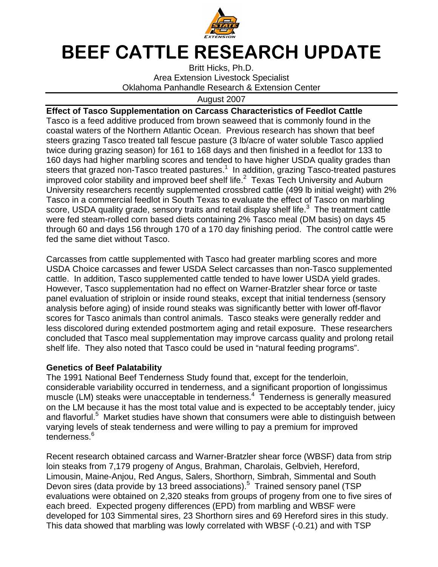

## BEEF CATTLE RESEARCH UPDATE

Britt Hicks, Ph.D. Area Extension Livestock Specialist Oklahoma Panhandle Research & Extension Center

August 2007

**Effect of Tasco Supplementation on Carcass Characteristics of Feedlot Cattle**  Tasco is a feed additive produced from brown seaweed that is commonly found in the coastal waters of the Northern Atlantic Ocean. Previous research has shown that beef steers grazing Tasco treated tall fescue pasture (3 lb/acre of water soluble Tasco applied twice during grazing season) for 161 to 168 days and then finished in a feedlot for 133 to 160 days had higher marbling scores and tended to have higher USDA quality grades than steers that grazed non-Tasco treated pastures.<sup>1</sup> In addition, grazing Tasco-treated pastures improved color stability and improved beef shelf life. $^2$  Texas Tech University and Auburn University researchers recently supplemented crossbred cattle (499 lb initial weight) with 2% Tasco in a commercial feedlot in South Texas to evaluate the effect of Tasco on marbling score, USDA quality grade, sensory traits and retail display shelf life. $3$  The treatment cattle were fed steam-rolled corn based diets containing 2% Tasco meal (DM basis) on days 45 through 60 and days 156 through 170 of a 170 day finishing period. The control cattle were fed the same diet without Tasco.

Carcasses from cattle supplemented with Tasco had greater marbling scores and more USDA Choice carcasses and fewer USDA Select carcasses than non-Tasco supplemented cattle. In addition, Tasco supplemented cattle tended to have lower USDA yield grades. However, Tasco supplementation had no effect on Warner-Bratzler shear force or taste panel evaluation of striploin or inside round steaks, except that initial tenderness (sensory analysis before aging) of inside round steaks was significantly better with lower off-flavor scores for Tasco animals than control animals. Tasco steaks were generally redder and less discolored during extended postmortem aging and retail exposure. These researchers concluded that Tasco meal supplementation may improve carcass quality and prolong retail shelf life. They also noted that Tasco could be used in "natural feeding programs".

## **Genetics of Beef Palatability**

The 1991 National Beef Tenderness Study found that, except for the tenderloin, considerable variability occurred in tenderness, and a significant proportion of longissimus muscle (LM) steaks were unacceptable in tenderness.<sup>4</sup> Tenderness is generally measured on the LM because it has the most total value and is expected to be acceptably tender, juicy and flavorful.<sup>5</sup> Market studies have shown that consumers were able to distinguish between varying levels of steak tenderness and were willing to pay a premium for improved tenderness.<sup>6</sup>

Recent research obtained carcass and Warner-Bratzler shear force (WBSF) data from strip loin steaks from 7,179 progeny of Angus, Brahman, Charolais, Gelbvieh, Hereford, Limousin, Maine-Anjou, Red Angus, Salers, Shorthorn, Simbrah, Simmental and South Devon sires (data provide by 13 breed associations).<sup>5</sup> Trained sensory panel (TSP evaluations were obtained on 2,320 steaks from groups of progeny from one to five sires of each breed. Expected progeny differences (EPD) from marbling and WBSF were developed for 103 Simmental sires, 23 Shorthorn sires and 69 Hereford sires in this study. This data showed that marbling was lowly correlated with WBSF (-0.21) and with TSP